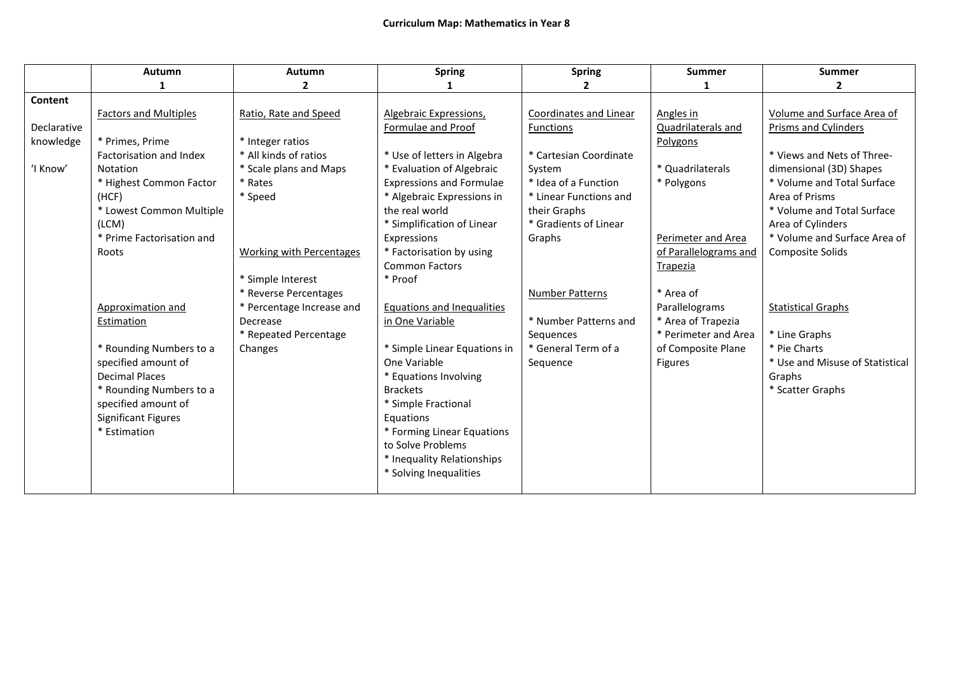|             | Autumn                       | Autumn                          | <b>Spring</b>                     | <b>Spring</b>          | <b>Summer</b>         | <b>Summer</b>                   |
|-------------|------------------------------|---------------------------------|-----------------------------------|------------------------|-----------------------|---------------------------------|
|             |                              | $\overline{2}$                  |                                   | 2                      | 1                     | $\mathbf{2}$                    |
| Content     |                              |                                 |                                   |                        |                       |                                 |
|             | <b>Factors and Multiples</b> | Ratio, Rate and Speed           | Algebraic Expressions,            | Coordinates and Linear | Angles in             | Volume and Surface Area of      |
| Declarative |                              |                                 | Formulae and Proof                | <b>Functions</b>       | Quadrilaterals and    | Prisms and Cylinders            |
| knowledge   | * Primes, Prime              | * Integer ratios                |                                   |                        | Polygons              |                                 |
|             | Factorisation and Index      | * All kinds of ratios           | * Use of letters in Algebra       | * Cartesian Coordinate |                       | * Views and Nets of Three-      |
| 'I Know'    | Notation                     | * Scale plans and Maps          | * Evaluation of Algebraic         | System                 | * Quadrilaterals      | dimensional (3D) Shapes         |
|             | * Highest Common Factor      | * Rates                         | <b>Expressions and Formulae</b>   | * Idea of a Function   | * Polygons            | * Volume and Total Surface      |
|             | (HCF)                        | * Speed                         | * Algebraic Expressions in        | * Linear Functions and |                       | Area of Prisms                  |
|             | * Lowest Common Multiple     |                                 | the real world                    | their Graphs           |                       | * Volume and Total Surface      |
|             | (LCM)                        |                                 | * Simplification of Linear        | * Gradients of Linear  |                       | Area of Cylinders               |
|             | * Prime Factorisation and    |                                 | Expressions                       | Graphs                 | Perimeter and Area    | * Volume and Surface Area of    |
|             | Roots                        | <b>Working with Percentages</b> | * Factorisation by using          |                        | of Parallelograms and | Composite Solids                |
|             |                              |                                 | <b>Common Factors</b>             |                        | Trapezia              |                                 |
|             |                              | * Simple Interest               | * Proof                           |                        |                       |                                 |
|             |                              | * Reverse Percentages           |                                   | <b>Number Patterns</b> | * Area of             |                                 |
|             | Approximation and            | * Percentage Increase and       | <b>Equations and Inequalities</b> |                        | Parallelograms        | <b>Statistical Graphs</b>       |
|             | Estimation                   | Decrease                        | in One Variable                   | * Number Patterns and  | * Area of Trapezia    |                                 |
|             |                              | * Repeated Percentage           |                                   | Sequences              | * Perimeter and Area  | * Line Graphs                   |
|             | * Rounding Numbers to a      | Changes                         | * Simple Linear Equations in      | * General Term of a    | of Composite Plane    | * Pie Charts                    |
|             | specified amount of          |                                 | One Variable                      | Sequence               | Figures               | * Use and Misuse of Statistical |
|             | <b>Decimal Places</b>        |                                 | * Equations Involving             |                        |                       | Graphs                          |
|             | * Rounding Numbers to a      |                                 | <b>Brackets</b>                   |                        |                       | * Scatter Graphs                |
|             | specified amount of          |                                 | * Simple Fractional               |                        |                       |                                 |
|             | <b>Significant Figures</b>   |                                 | Equations                         |                        |                       |                                 |
|             | * Estimation                 |                                 | * Forming Linear Equations        |                        |                       |                                 |
|             |                              |                                 | to Solve Problems                 |                        |                       |                                 |
|             |                              |                                 | * Inequality Relationships        |                        |                       |                                 |
|             |                              |                                 | * Solving Inequalities            |                        |                       |                                 |
|             |                              |                                 |                                   |                        |                       |                                 |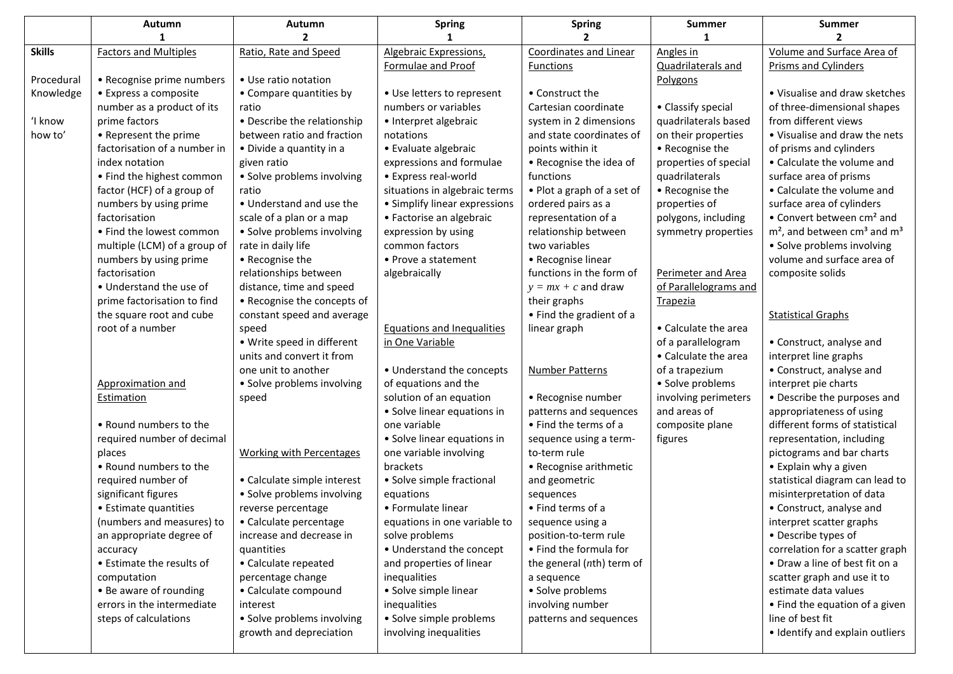|               | Autumn                                                  | Autumn                              | <b>Spring</b>                 | <b>Spring</b>                            | <b>Summer</b>         | <b>Summer</b>                                         |
|---------------|---------------------------------------------------------|-------------------------------------|-------------------------------|------------------------------------------|-----------------------|-------------------------------------------------------|
|               |                                                         | 2                                   |                               | 2                                        |                       | $\mathbf{2}$                                          |
| <b>Skills</b> | <b>Factors and Multiples</b>                            | Ratio, Rate and Speed               | Algebraic Expressions,        | <b>Coordinates and Linear</b>            | Angles in             | Volume and Surface Area of                            |
|               |                                                         |                                     | Formulae and Proof            | Functions                                | Quadrilaterals and    | <b>Prisms and Cylinders</b>                           |
| Procedural    | • Recognise prime numbers                               | • Use ratio notation                |                               |                                          | Polygons              |                                                       |
| Knowledge     | • Express a composite                                   | • Compare quantities by             | • Use letters to represent    | • Construct the                          |                       | • Visualise and draw sketches                         |
|               | number as a product of its                              | ratio                               | numbers or variables          | Cartesian coordinate                     | • Classify special    | of three-dimensional shapes                           |
| 'I know       | prime factors                                           | • Describe the relationship         | • Interpret algebraic         | system in 2 dimensions                   | quadrilaterals based  | from different views                                  |
| how to'       | • Represent the prime                                   | between ratio and fraction          | notations                     | and state coordinates of                 | on their properties   | • Visualise and draw the nets                         |
|               | factorisation of a number in                            | • Divide a quantity in a            | • Evaluate algebraic          | points within it                         | • Recognise the       | of prisms and cylinders                               |
|               | index notation                                          | given ratio                         | expressions and formulae      | • Recognise the idea of                  | properties of special | • Calculate the volume and                            |
|               | • Find the highest common                               | • Solve problems involving          | • Express real-world          | functions                                | quadrilaterals        | surface area of prisms                                |
|               | factor (HCF) of a group of                              | ratio                               | situations in algebraic terms | • Plot a graph of a set of               | • Recognise the       | • Calculate the volume and                            |
|               | numbers by using prime                                  | • Understand and use the            | • Simplify linear expressions | ordered pairs as a                       | properties of         | surface area of cylinders                             |
|               | factorisation                                           | scale of a plan or a map            | • Factorise an algebraic      | representation of a                      | polygons, including   | • Convert between cm <sup>2</sup> and                 |
|               | • Find the lowest common                                | • Solve problems involving          | expression by using           | relationship between                     | symmetry properties   | $m2$ , and between cm <sup>3</sup> and m <sup>3</sup> |
|               | multiple (LCM) of a group of                            | rate in daily life                  | common factors                | two variables                            |                       | • Solve problems involving                            |
|               | numbers by using prime                                  | • Recognise the                     | • Prove a statement           | • Recognise linear                       |                       | volume and surface area of                            |
|               | factorisation                                           | relationships between               | algebraically                 | functions in the form of                 | Perimeter and Area    | composite solids                                      |
|               | • Understand the use of                                 | distance, time and speed            |                               | $y = mx + c$ and draw                    | of Parallelograms and |                                                       |
|               | prime factorisation to find<br>the square root and cube | • Recognise the concepts of         |                               | their graphs<br>• Find the gradient of a | <b>Trapezia</b>       |                                                       |
|               | root of a number                                        | constant speed and average<br>speed | Equations and Inequalities    | linear graph                             | • Calculate the area  | <b>Statistical Graphs</b>                             |
|               |                                                         | • Write speed in different          | in One Variable               |                                          | of a parallelogram    | • Construct, analyse and                              |
|               |                                                         | units and convert it from           |                               |                                          | • Calculate the area  | interpret line graphs                                 |
|               |                                                         | one unit to another                 | • Understand the concepts     | Number Patterns                          | of a trapezium        | • Construct, analyse and                              |
|               | Approximation and                                       | • Solve problems involving          | of equations and the          |                                          | • Solve problems      | interpret pie charts                                  |
|               | Estimation                                              | speed                               | solution of an equation       | • Recognise number                       | involving perimeters  | • Describe the purposes and                           |
|               |                                                         |                                     | • Solve linear equations in   | patterns and sequences                   | and areas of          | appropriateness of using                              |
|               | • Round numbers to the                                  |                                     | one variable                  | • Find the terms of a                    | composite plane       | different forms of statistical                        |
|               | required number of decimal                              |                                     | • Solve linear equations in   | sequence using a term-                   | figures               | representation, including                             |
|               | places                                                  | <b>Working with Percentages</b>     | one variable involving        | to-term rule                             |                       | pictograms and bar charts                             |
|               | • Round numbers to the                                  |                                     | brackets                      | • Recognise arithmetic                   |                       | • Explain why a given                                 |
|               | required number of                                      | • Calculate simple interest         | • Solve simple fractional     | and geometric                            |                       | statistical diagram can lead to                       |
|               | significant figures                                     | · Solve problems involving          | equations                     | sequences                                |                       | misinterpretation of data                             |
|               | • Estimate quantities                                   | reverse percentage                  | • Formulate linear            | • Find terms of a                        |                       | • Construct, analyse and                              |
|               | (numbers and measures) to                               | • Calculate percentage              | equations in one variable to  | sequence using a                         |                       | interpret scatter graphs                              |
|               | an appropriate degree of                                | increase and decrease in            | solve problems                | position-to-term rule                    |                       | • Describe types of                                   |
|               | accuracy                                                | quantities                          | • Understand the concept      | • Find the formula for                   |                       | correlation for a scatter graph                       |
|               | • Estimate the results of                               | • Calculate repeated                | and properties of linear      | the general (nth) term of                |                       | • Draw a line of best fit on a                        |
|               | computation                                             | percentage change                   | inequalities                  | a sequence                               |                       | scatter graph and use it to                           |
|               | • Be aware of rounding                                  | • Calculate compound                | • Solve simple linear         | • Solve problems                         |                       | estimate data values                                  |
|               | errors in the intermediate                              | interest                            | inequalities                  | involving number                         |                       | • Find the equation of a given                        |
|               | steps of calculations                                   | • Solve problems involving          | • Solve simple problems       | patterns and sequences                   |                       | line of best fit                                      |
|               |                                                         | growth and depreciation             | involving inequalities        |                                          |                       | · Identify and explain outliers                       |
|               |                                                         |                                     |                               |                                          |                       |                                                       |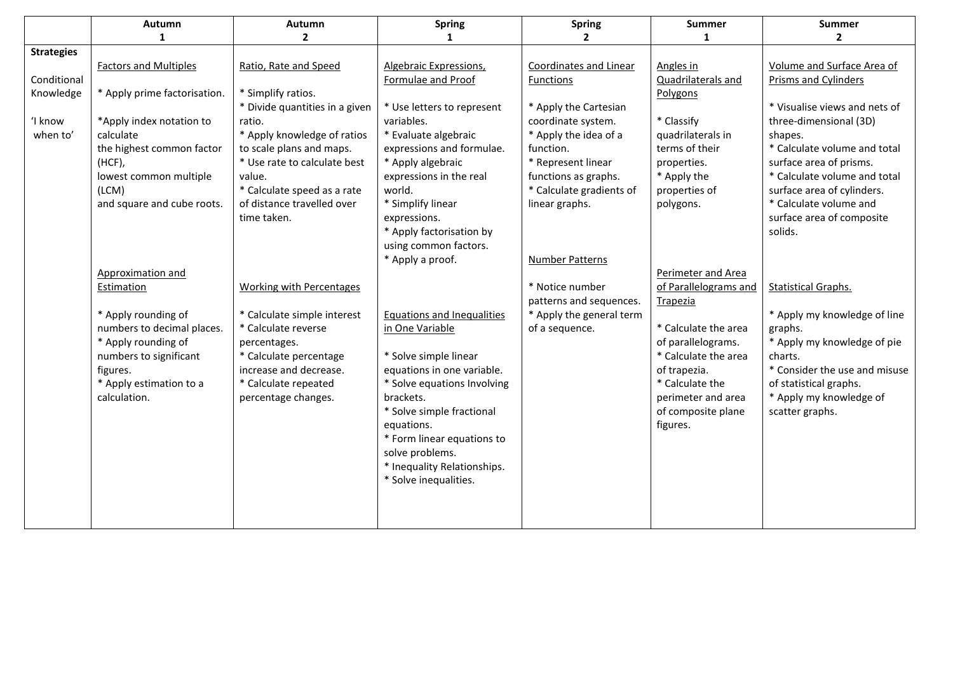|                   | Autumn                       | Autumn                          | <b>Spring</b>                 | <b>Spring</b>            | <b>Summer</b>         | <b>Summer</b>                 |
|-------------------|------------------------------|---------------------------------|-------------------------------|--------------------------|-----------------------|-------------------------------|
|                   | 1                            | $\mathbf{2}$                    | 1                             | $\mathbf{2}$             | 1                     | $\mathbf{2}$                  |
| <b>Strategies</b> |                              |                                 |                               |                          |                       |                               |
|                   | <b>Factors and Multiples</b> | Ratio, Rate and Speed           | <b>Algebraic Expressions,</b> | Coordinates and Linear   | Angles in             | Volume and Surface Area of    |
| Conditional       |                              |                                 | Formulae and Proof            | Functions                | Quadrilaterals and    | Prisms and Cylinders          |
| Knowledge         | * Apply prime factorisation. | * Simplify ratios.              |                               |                          | Polygons              |                               |
|                   |                              | * Divide quantities in a given  | * Use letters to represent    | * Apply the Cartesian    |                       | * Visualise views and nets of |
| 'I know           | *Apply index notation to     | ratio.                          | variables.                    | coordinate system.       | * Classify            | three-dimensional (3D)        |
| when to'          | calculate                    | * Apply knowledge of ratios     | * Evaluate algebraic          | * Apply the idea of a    | quadrilaterals in     | shapes.                       |
|                   | the highest common factor    | to scale plans and maps.        | expressions and formulae.     | function.                | terms of their        | * Calculate volume and total  |
|                   | $(HCF)$ ,                    | * Use rate to calculate best    | * Apply algebraic             | * Represent linear       | properties.           | surface area of prisms.       |
|                   | lowest common multiple       | value.                          | expressions in the real       | functions as graphs.     | * Apply the           | * Calculate volume and total  |
|                   | (LCM)                        | * Calculate speed as a rate     | world.                        | * Calculate gradients of | properties of         | surface area of cylinders.    |
|                   | and square and cube roots.   | of distance travelled over      | * Simplify linear             | linear graphs.           | polygons.             | * Calculate volume and        |
|                   |                              | time taken.                     | expressions.                  |                          |                       | surface area of composite     |
|                   |                              |                                 | * Apply factorisation by      |                          |                       | solids.                       |
|                   |                              |                                 | using common factors.         |                          |                       |                               |
|                   |                              |                                 | * Apply a proof.              | Number Patterns          |                       |                               |
|                   | Approximation and            |                                 |                               |                          | Perimeter and Area    |                               |
|                   | Estimation                   | <b>Working with Percentages</b> |                               | * Notice number          | of Parallelograms and | <b>Statistical Graphs.</b>    |
|                   |                              |                                 |                               | patterns and sequences.  | Trapezia              |                               |
|                   | * Apply rounding of          | * Calculate simple interest     | Equations and Inequalities    | * Apply the general term |                       | * Apply my knowledge of line  |
|                   | numbers to decimal places.   | * Calculate reverse             | in One Variable               | of a sequence.           | * Calculate the area  | graphs.                       |
|                   | * Apply rounding of          | percentages.                    |                               |                          | of parallelograms.    | * Apply my knowledge of pie   |
|                   | numbers to significant       | * Calculate percentage          | * Solve simple linear         |                          | * Calculate the area  | charts.                       |
|                   | figures.                     | increase and decrease.          | equations in one variable.    |                          | of trapezia.          | * Consider the use and misuse |
|                   | * Apply estimation to a      | * Calculate repeated            | * Solve equations Involving   |                          | * Calculate the       | of statistical graphs.        |
|                   | calculation.                 | percentage changes.             | brackets.                     |                          | perimeter and area    | * Apply my knowledge of       |
|                   |                              |                                 | * Solve simple fractional     |                          | of composite plane    | scatter graphs.               |
|                   |                              |                                 | equations.                    |                          | figures.              |                               |
|                   |                              |                                 | * Form linear equations to    |                          |                       |                               |
|                   |                              |                                 | solve problems.               |                          |                       |                               |
|                   |                              |                                 | * Inequality Relationships.   |                          |                       |                               |
|                   |                              |                                 | * Solve inequalities.         |                          |                       |                               |
|                   |                              |                                 |                               |                          |                       |                               |
|                   |                              |                                 |                               |                          |                       |                               |
|                   |                              |                                 |                               |                          |                       |                               |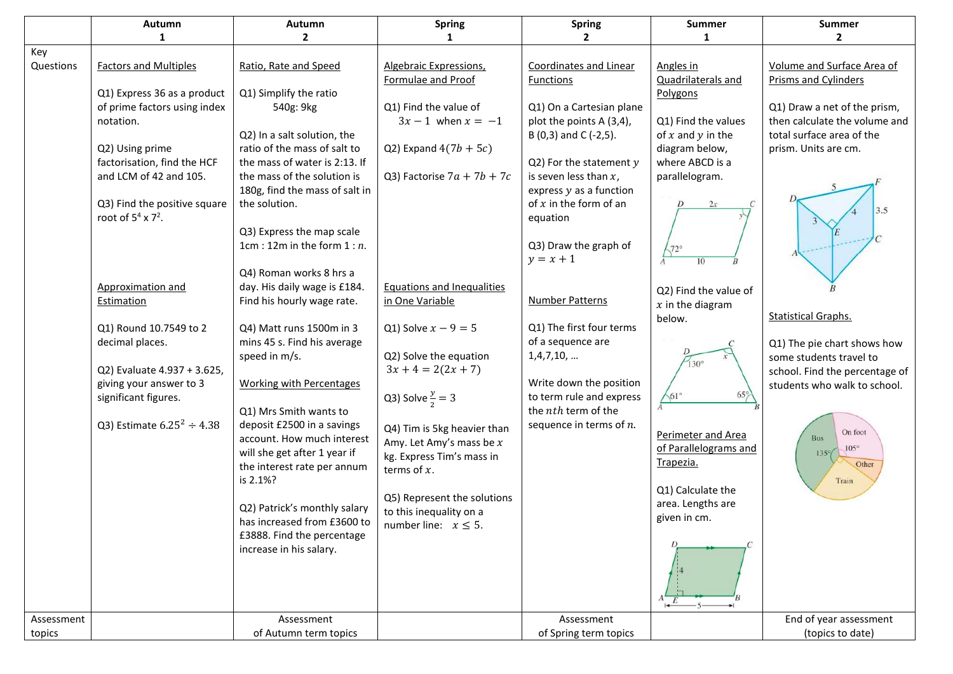|            | Autumn                          | Autumn                          | <b>Spring</b>                     | <b>Spring</b>                                       | Summer                   | <b>Summer</b>                  |
|------------|---------------------------------|---------------------------------|-----------------------------------|-----------------------------------------------------|--------------------------|--------------------------------|
|            | 1                               | $\overline{2}$                  | $\mathbf 1$                       | $\mathbf{2}$                                        | 1                        | $\mathbf{2}$                   |
| Key        |                                 |                                 |                                   |                                                     |                          |                                |
| Questions  | <b>Factors and Multiples</b>    | Ratio, Rate and Speed           | Algebraic Expressions,            | <b>Coordinates and Linear</b>                       | Angles in                | Volume and Surface Area of     |
|            |                                 |                                 | Formulae and Proof                | <b>Functions</b>                                    | Quadrilaterals and       | Prisms and Cylinders           |
|            | Q1) Express 36 as a product     | Q1) Simplify the ratio          |                                   |                                                     | Polygons                 |                                |
|            | of prime factors using index    | 540g: 9kg                       | Q1) Find the value of             | Q1) On a Cartesian plane                            |                          | Q1) Draw a net of the prism,   |
|            | notation.                       |                                 | $3x - 1$ when $x = -1$            | plot the points A (3,4),                            | Q1) Find the values      | then calculate the volume and  |
|            |                                 | Q2) In a salt solution, the     |                                   | B (0,3) and C (-2,5).                               | of $x$ and $y$ in the    | total surface area of the      |
|            | Q2) Using prime                 | ratio of the mass of salt to    | Q2) Expand $4(7b + 5c)$           |                                                     | diagram below,           | prism. Units are cm.           |
|            | factorisation, find the HCF     | the mass of water is 2:13. If   |                                   | Q2) For the statement $y$                           | where ABCD is a          |                                |
|            | and LCM of 42 and 105.          | the mass of the solution is     | Q3) Factorise $7a + 7b + 7c$      | is seven less than $x$ ,                            | parallelogram.           |                                |
|            |                                 | 180g, find the mass of salt in  |                                   | express $y$ as a function                           |                          |                                |
|            | Q3) Find the positive square    | the solution.                   |                                   | of $x$ in the form of an                            | 2x                       |                                |
|            | root of $5^4$ x $7^2$ .         |                                 |                                   | equation                                            |                          |                                |
|            |                                 | Q3) Express the map scale       |                                   |                                                     |                          |                                |
|            |                                 | 1cm : 12m in the form $1:n$ .   |                                   | Q3) Draw the graph of                               | $72^\circ$               |                                |
|            |                                 |                                 |                                   | $y = x + 1$                                         | 10                       |                                |
|            |                                 | Q4) Roman works 8 hrs a         |                                   |                                                     |                          |                                |
|            | Approximation and               | day. His daily wage is £184.    | <b>Equations and Inequalities</b> |                                                     | Q2) Find the value of    |                                |
|            | Estimation                      | Find his hourly wage rate.      | in One Variable                   | Number Patterns                                     | $x$ in the diagram       |                                |
|            |                                 |                                 |                                   |                                                     | below.                   | <b>Statistical Graphs.</b>     |
|            | Q1) Round 10.7549 to 2          | Q4) Matt runs 1500m in 3        | Q1) Solve $x - 9 = 5$             | Q1) The first four terms                            |                          |                                |
|            | decimal places.                 | mins 45 s. Find his average     |                                   | of a sequence are                                   |                          | Q1) The pie chart shows how    |
|            |                                 | speed in m/s.                   | Q2) Solve the equation            | 1,4,7,10,                                           | $130^\circ$              | some students travel to        |
|            | Q2) Evaluate 4.937 + 3.625,     |                                 | $3x + 4 = 2(2x + 7)$              |                                                     |                          | school. Find the percentage of |
|            | giving your answer to 3         | <b>Working with Percentages</b> |                                   | Write down the position<br>to term rule and express | $65^\circ$<br>$61^\circ$ | students who walk to school.   |
|            | significant figures.            | Q1) Mrs Smith wants to          | Q3) Solve $\frac{y}{2} = 3$       | the nth term of the                                 |                          |                                |
|            | Q3) Estimate $6.25^2 \div 4.38$ | deposit £2500 in a savings      |                                   | sequence in terms of $n$ .                          |                          |                                |
|            |                                 | account. How much interest      | Q4) Tim is 5kg heavier than       |                                                     | Perimeter and Area       | On foot<br>Bus                 |
|            |                                 | will she get after 1 year if    | Amy. Let Amy's mass be $x$        |                                                     | of Parallelograms and    | $105^\circ$<br>$135^\circ$     |
|            |                                 | the interest rate per annum     | kg. Express Tim's mass in         |                                                     | Trapezia.                | Other                          |
|            |                                 | is 2.1%?                        | terms of $x$ .                    |                                                     |                          | Train                          |
|            |                                 |                                 |                                   |                                                     | Q1) Calculate the        |                                |
|            |                                 | Q2) Patrick's monthly salary    | Q5) Represent the solutions       |                                                     | area. Lengths are        |                                |
|            |                                 | has increased from £3600 to     | to this inequality on a           |                                                     | given in cm.             |                                |
|            |                                 | £3888. Find the percentage      | number line: $x \leq 5$ .         |                                                     |                          |                                |
|            |                                 | increase in his salary.         |                                   |                                                     |                          |                                |
|            |                                 |                                 |                                   |                                                     |                          |                                |
|            |                                 |                                 |                                   |                                                     |                          |                                |
|            |                                 |                                 |                                   |                                                     |                          |                                |
|            |                                 |                                 |                                   |                                                     |                          |                                |
| Assessment |                                 | Assessment                      |                                   | Assessment                                          |                          | End of year assessment         |
| topics     |                                 | of Autumn term topics           |                                   | of Spring term topics                               |                          | (topics to date)               |